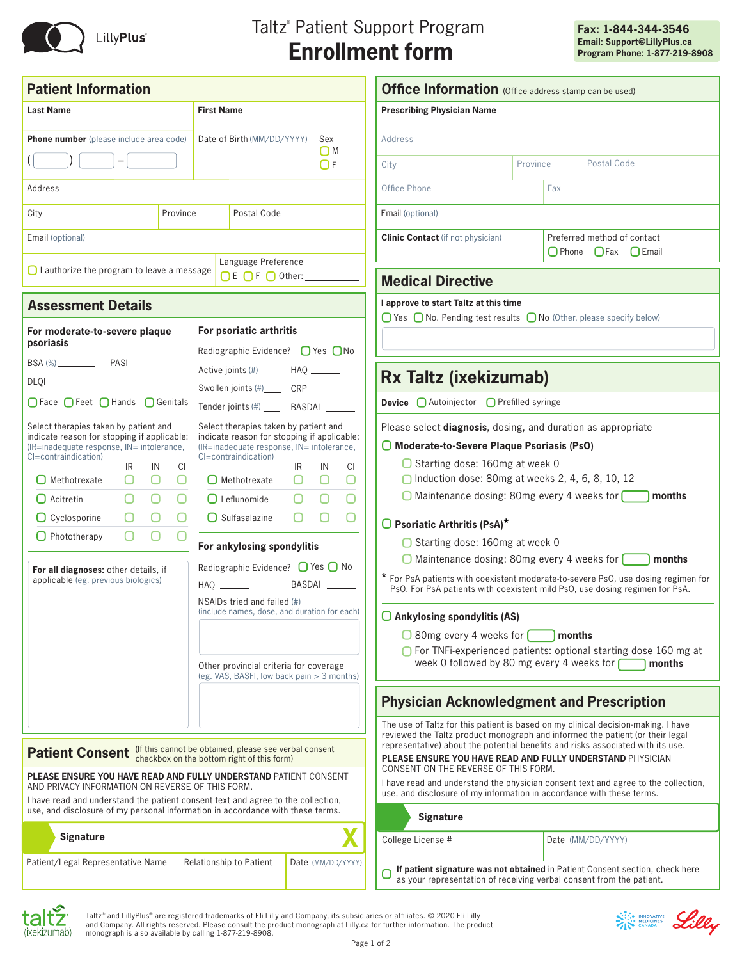

# Taltz ® Patient Support Program **Enrollment form**

| <b>Patient Information</b>                                                                                                                                                                                                                                                                                                                                                                                                |                                                  |                                                                                                                                                                                                                                                                                                                                                                                                                                                                                            |                        |                                                                     | <b>Office Information</b> (Office address stamp can be used)                                                                                                                                                                                                                                                                                                                                                                                                                                                                      |                                                      |                                                                                                                                                                                                                                                                                                                                        |  |
|---------------------------------------------------------------------------------------------------------------------------------------------------------------------------------------------------------------------------------------------------------------------------------------------------------------------------------------------------------------------------------------------------------------------------|--------------------------------------------------|--------------------------------------------------------------------------------------------------------------------------------------------------------------------------------------------------------------------------------------------------------------------------------------------------------------------------------------------------------------------------------------------------------------------------------------------------------------------------------------------|------------------------|---------------------------------------------------------------------|-----------------------------------------------------------------------------------------------------------------------------------------------------------------------------------------------------------------------------------------------------------------------------------------------------------------------------------------------------------------------------------------------------------------------------------------------------------------------------------------------------------------------------------|------------------------------------------------------|----------------------------------------------------------------------------------------------------------------------------------------------------------------------------------------------------------------------------------------------------------------------------------------------------------------------------------------|--|
| <b>Last Name</b>                                                                                                                                                                                                                                                                                                                                                                                                          |                                                  | <b>First Name</b>                                                                                                                                                                                                                                                                                                                                                                                                                                                                          |                        |                                                                     | <b>Prescribing Physician Name</b>                                                                                                                                                                                                                                                                                                                                                                                                                                                                                                 |                                                      |                                                                                                                                                                                                                                                                                                                                        |  |
| Phone number (please include area code)                                                                                                                                                                                                                                                                                                                                                                                   |                                                  | Date of Birth (MM/DD/YYYY)                                                                                                                                                                                                                                                                                                                                                                                                                                                                 |                        | Sex<br>$\bigcap M$                                                  | Address<br>Postal Code<br>Province<br>City                                                                                                                                                                                                                                                                                                                                                                                                                                                                                        |                                                      |                                                                                                                                                                                                                                                                                                                                        |  |
|                                                                                                                                                                                                                                                                                                                                                                                                                           |                                                  |                                                                                                                                                                                                                                                                                                                                                                                                                                                                                            |                        | OF                                                                  |                                                                                                                                                                                                                                                                                                                                                                                                                                                                                                                                   |                                                      |                                                                                                                                                                                                                                                                                                                                        |  |
| Address                                                                                                                                                                                                                                                                                                                                                                                                                   |                                                  |                                                                                                                                                                                                                                                                                                                                                                                                                                                                                            |                        |                                                                     | Office Phone<br>Fax                                                                                                                                                                                                                                                                                                                                                                                                                                                                                                               |                                                      |                                                                                                                                                                                                                                                                                                                                        |  |
| City                                                                                                                                                                                                                                                                                                                                                                                                                      | Province                                         | Postal Code                                                                                                                                                                                                                                                                                                                                                                                                                                                                                |                        |                                                                     | Email (optional)                                                                                                                                                                                                                                                                                                                                                                                                                                                                                                                  |                                                      |                                                                                                                                                                                                                                                                                                                                        |  |
| Email (optional)                                                                                                                                                                                                                                                                                                                                                                                                          |                                                  |                                                                                                                                                                                                                                                                                                                                                                                                                                                                                            |                        |                                                                     | <b>Clinic Contact</b> (if not physician)                                                                                                                                                                                                                                                                                                                                                                                                                                                                                          | Preferred method of contact<br>O Phone O Fax O Email |                                                                                                                                                                                                                                                                                                                                        |  |
| $\Box$ I authorize the program to leave a message                                                                                                                                                                                                                                                                                                                                                                         |                                                  | Language Preference<br>$\bigcap E$ $\bigcap F$ $\bigcap$ Other:                                                                                                                                                                                                                                                                                                                                                                                                                            |                        |                                                                     | <b>Medical Directive</b>                                                                                                                                                                                                                                                                                                                                                                                                                                                                                                          |                                                      |                                                                                                                                                                                                                                                                                                                                        |  |
| <b>Assessment Details</b>                                                                                                                                                                                                                                                                                                                                                                                                 |                                                  |                                                                                                                                                                                                                                                                                                                                                                                                                                                                                            |                        |                                                                     | I approve to start Taltz at this time<br>$\Box$ Yes $\Box$ No. Pending test results $\Box$ No (Other, please specify below)                                                                                                                                                                                                                                                                                                                                                                                                       |                                                      |                                                                                                                                                                                                                                                                                                                                        |  |
| For moderate-to-severe plaque<br>psoriasis                                                                                                                                                                                                                                                                                                                                                                                |                                                  | For psoriatic arthritis<br>Radiographic Evidence? $\bigcap$ Yes $\bigcap$ No                                                                                                                                                                                                                                                                                                                                                                                                               |                        |                                                                     |                                                                                                                                                                                                                                                                                                                                                                                                                                                                                                                                   |                                                      |                                                                                                                                                                                                                                                                                                                                        |  |
|                                                                                                                                                                                                                                                                                                                                                                                                                           |                                                  |                                                                                                                                                                                                                                                                                                                                                                                                                                                                                            |                        |                                                                     |                                                                                                                                                                                                                                                                                                                                                                                                                                                                                                                                   |                                                      |                                                                                                                                                                                                                                                                                                                                        |  |
| DLQI _______                                                                                                                                                                                                                                                                                                                                                                                                              |                                                  | Swollen joints (#)_______ CRP _______                                                                                                                                                                                                                                                                                                                                                                                                                                                      |                        |                                                                     | <b>Rx Taltz (ixekizumab)</b>                                                                                                                                                                                                                                                                                                                                                                                                                                                                                                      |                                                      |                                                                                                                                                                                                                                                                                                                                        |  |
| ○Face ○Feet ○Hands ○Genitals                                                                                                                                                                                                                                                                                                                                                                                              |                                                  | Tender joints (#) _____ BASDAI                                                                                                                                                                                                                                                                                                                                                                                                                                                             |                        |                                                                     | <b>Device</b> △ Autoinjector △ Prefilled syringe                                                                                                                                                                                                                                                                                                                                                                                                                                                                                  |                                                      |                                                                                                                                                                                                                                                                                                                                        |  |
| Select therapies taken by patient and<br>indicate reason for stopping if applicable:<br>(IR=inadequate response, IN= intolerance,<br>CI=contraindication)<br>IN<br>IR<br>$\Box$<br>$\Box$ Methotrexate<br>O<br>$\Box$<br>$\Box$ Acitretin<br>0.<br>O<br>$\Box$ Cyclosporine<br>О<br>$\Box$ Phototherapy<br>$\Box$<br>For all diagnoses: other details, if<br>applicable (eg. previous biologics)                          | <b>CI</b><br>$\Box$<br>O<br>$\bigcirc$<br>$\Box$ | Select therapies taken by patient and<br>indicate reason for stopping if applicable:<br>(IR=inadequate response, IN= intolerance,<br>CI=contraindication)<br>$\Box$ Methotrexate<br>$\Box$ Leflunomide<br>$\Box$ Sulfasalazine<br>For ankylosing spondylitis<br>Radiographic Evidence? $\bigcirc$ Yes $\bigcirc$ No<br>NSAIDs tried and failed (#)<br>(include names, dose, and duration for each)<br>Other provincial criteria for coverage<br>(eg. VAS, BASFI, low back pain > 3 months) | IR<br>$\Box$<br>O<br>O | CI<br>IN<br>$\cup$<br>O<br>$\Box$<br>$\bigcirc$<br>O<br>О<br>BASDAI | Please select diagnosis, dosing, and duration as appropriate<br>O Moderate-to-Severe Plaque Psoriasis (PsO)<br>$\Box$ Starting dose: 160mg at week 0<br>$\Box$ Induction dose: 80mg at weeks 2, 4, 6, 8, 10, 12<br>O Maintenance dosing: 80mg every 4 weeks for<br>$\Box$ Psoriatic Arthritis (PsA)*<br>◯ Starting dose: 160mg at week 0<br>$\Box$ Ankylosing spondylitis (AS)<br>$\Box$ 80mg every 4 weeks for $\Box$<br>week 0 followed by 80 mg every 4 weeks for                                                              |                                                      | months<br>$\Box$ Maintenance dosing: 80mg every 4 weeks for $\Box$ months<br>* For PsA patients with coexistent moderate-to-severe PsO, use dosing regimen for<br>PsO. For PsA patients with coexistent mild PsO, use dosing regimen for PsA.<br>months<br>○ For TNFi-experienced patients: optional starting dose 160 mg at<br>months |  |
|                                                                                                                                                                                                                                                                                                                                                                                                                           |                                                  |                                                                                                                                                                                                                                                                                                                                                                                                                                                                                            |                        |                                                                     | <b>Physician Acknowledgment and Prescription</b>                                                                                                                                                                                                                                                                                                                                                                                                                                                                                  |                                                      |                                                                                                                                                                                                                                                                                                                                        |  |
| <b>Patient Consent</b> (If this cannot be obtained, please see verbal consent<br>checkbox on the bottom right of this form)<br>PLEASE ENSURE YOU HAVE READ AND FULLY UNDERSTAND PATIENT CONSENT<br>AND PRIVACY INFORMATION ON REVERSE OF THIS FORM.<br>I have read and understand the patient consent text and agree to the collection,<br>use, and disclosure of my personal information in accordance with these terms. |                                                  |                                                                                                                                                                                                                                                                                                                                                                                                                                                                                            |                        |                                                                     | The use of Taltz for this patient is based on my clinical decision-making. I have<br>reviewed the Taltz product monograph and informed the patient (or their legal<br>representative) about the potential benefits and risks associated with its use.<br><b>PLEASE ENSURE YOU HAVE READ AND FULLY UNDERSTAND PHYSICIAN</b><br>CONSENT ON THE REVERSE OF THIS FORM.<br>I have read and understand the physician consent text and agree to the collection,<br>use, and disclosure of my information in accordance with these terms. |                                                      |                                                                                                                                                                                                                                                                                                                                        |  |
| <b>Signature</b>                                                                                                                                                                                                                                                                                                                                                                                                          |                                                  |                                                                                                                                                                                                                                                                                                                                                                                                                                                                                            |                        |                                                                     | Signature                                                                                                                                                                                                                                                                                                                                                                                                                                                                                                                         |                                                      |                                                                                                                                                                                                                                                                                                                                        |  |
|                                                                                                                                                                                                                                                                                                                                                                                                                           |                                                  |                                                                                                                                                                                                                                                                                                                                                                                                                                                                                            |                        |                                                                     | College License #                                                                                                                                                                                                                                                                                                                                                                                                                                                                                                                 |                                                      | Date (MM/DD/YYYY)                                                                                                                                                                                                                                                                                                                      |  |
| Patient/Legal Representative Name                                                                                                                                                                                                                                                                                                                                                                                         |                                                  | Relationship to Patient                                                                                                                                                                                                                                                                                                                                                                                                                                                                    |                        | Date (MM/DD/YYYY)                                                   | as your representation of receiving verbal consent from the patient.                                                                                                                                                                                                                                                                                                                                                                                                                                                              |                                                      | If patient signature was not obtained in Patient Consent section, check here                                                                                                                                                                                                                                                           |  |